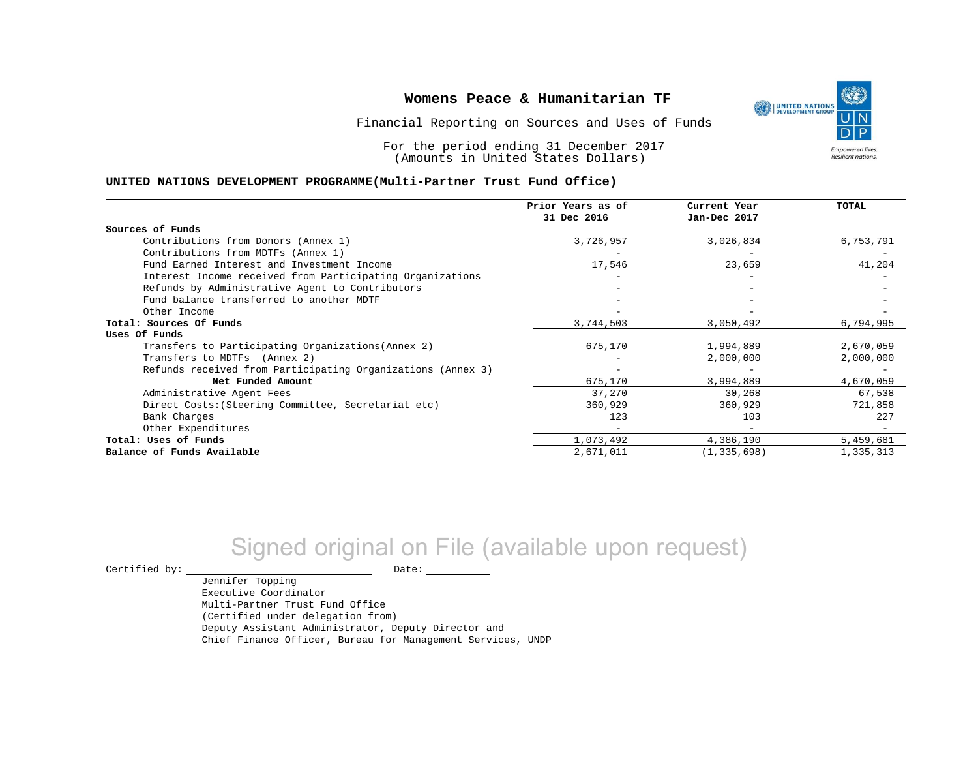

For the period ending 31 December 2017 (Amounts in United States Dollars)

#### **UNITED NATIONS DEVELOPMENT PROGRAMME(Multi-Partner Trust Fund Office)**

|                                                             | Prior Years as of<br>31 Dec 2016 | Current Year<br>Jan-Dec 2017 | TOTAL     |
|-------------------------------------------------------------|----------------------------------|------------------------------|-----------|
|                                                             |                                  |                              |           |
| Sources of Funds                                            |                                  |                              |           |
| Contributions from Donors (Annex 1)                         | 3,726,957                        | 3,026,834                    | 6,753,791 |
| Contributions from MDTFs (Annex 1)                          |                                  |                              |           |
| Fund Earned Interest and Investment Income                  | 17,546                           | 23,659                       | 41,204    |
| Interest Income received from Participating Organizations   |                                  |                              |           |
| Refunds by Administrative Agent to Contributors             |                                  |                              |           |
| Fund balance transferred to another MDTF                    |                                  |                              |           |
| Other Income                                                |                                  |                              |           |
| Total: Sources Of Funds                                     | 3,744,503                        | 3,050,492                    | 6,794,995 |
| Uses Of Funds                                               |                                  |                              |           |
| Transfers to Participating Organizations (Annex 2)          | 675,170                          | 1,994,889                    | 2,670,059 |
| Transfers to MDTFs (Annex 2)                                |                                  | 2,000,000                    | 2,000,000 |
| Refunds received from Participating Organizations (Annex 3) | $\overline{\phantom{0}}$         |                              |           |
| Net Funded Amount                                           | 675,170                          | 3,994,889                    | 4,670,059 |
| Administrative Agent Fees                                   | 37,270                           | 30,268                       | 67,538    |
| Direct Costs: (Steering Committee, Secretariat etc)         | 360,929                          | 360,929                      | 721,858   |
| Bank Charges                                                | 123                              | 103                          | 227       |
| Other Expenditures                                          |                                  |                              |           |
| Total: Uses of Funds                                        | 1,073,492                        | 4,386,190                    | 5,459,681 |
| Balance of Funds Available                                  | 2,671,011                        | (1, 335, 698)                | 1,335,313 |

# Signed original on File (available upon request)

 $\begin{tabular}{ccccc} \multicolumn{2}{c|}{\textbf{Certified by:}} & \multicolumn{2}{c|}{\textbf{Date:}} \end{tabular}$ 

Jennifer Topping Executive Coordinator Multi-Partner Trust Fund Office (Certified under delegation from) Deputy Assistant Administrator, Deputy Director and Chief Finance Officer, Bureau for Management Services, UNDP

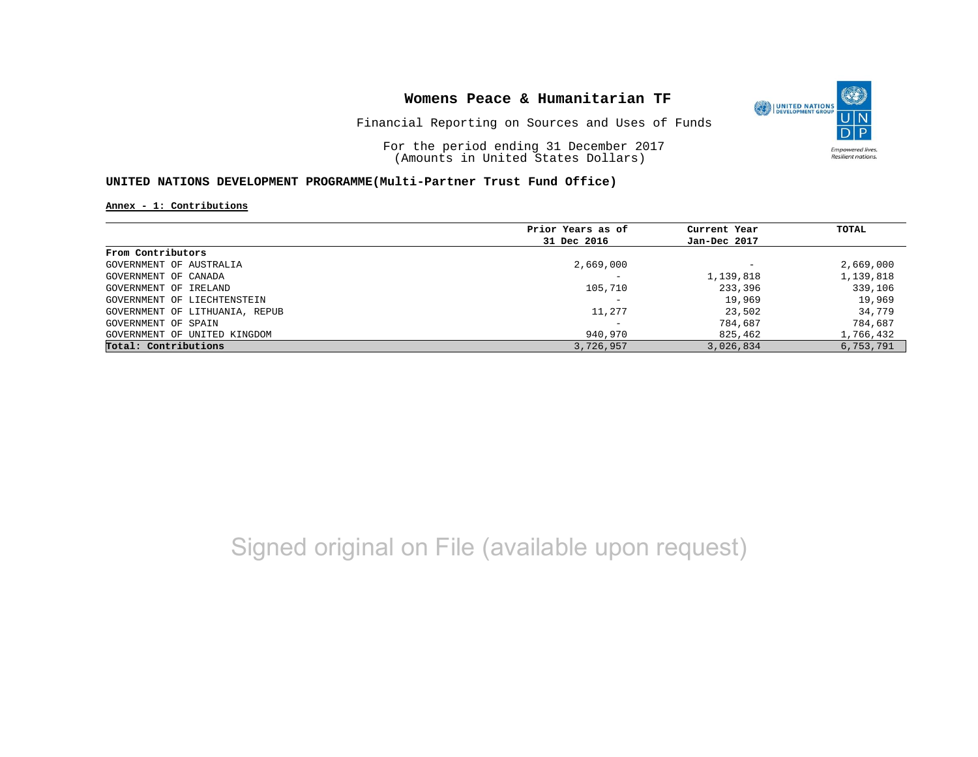

Financial Reporting on Sources and Uses of Funds

For the period ending 31 December 2017 (Amounts in United States Dollars)

### **UNITED NATIONS DEVELOPMENT PROGRAMME(Multi-Partner Trust Fund Office)**

**Annex - 1: Contributions**

|                                | Prior Years as of | Current Year<br>Jan-Dec 2017 | TOTAL     |
|--------------------------------|-------------------|------------------------------|-----------|
|                                | 31 Dec 2016       |                              |           |
| From Contributors              |                   |                              |           |
| GOVERNMENT OF AUSTRALIA        | 2,669,000         | $\overline{\phantom{0}}$     | 2,669,000 |
| GOVERNMENT OF CANADA           |                   | 1,139,818                    | 1,139,818 |
| GOVERNMENT OF IRELAND          | 105,710           | 233,396                      | 339,106   |
| GOVERNMENT OF LIECHTENSTEIN    |                   | 19,969                       | 19,969    |
| GOVERNMENT OF LITHUANIA, REPUB | 11,277            | 23,502                       | 34,779    |
| GOVERNMENT OF SPAIN            |                   | 784,687                      | 784,687   |
| GOVERNMENT OF UNITED KINGDOM   | 940,970           | 825,462                      | 1,766,432 |
| Total: Contributions           | 3,726,957         | 3,026,834                    | 6,753,791 |

# Signed original on File (available upon request)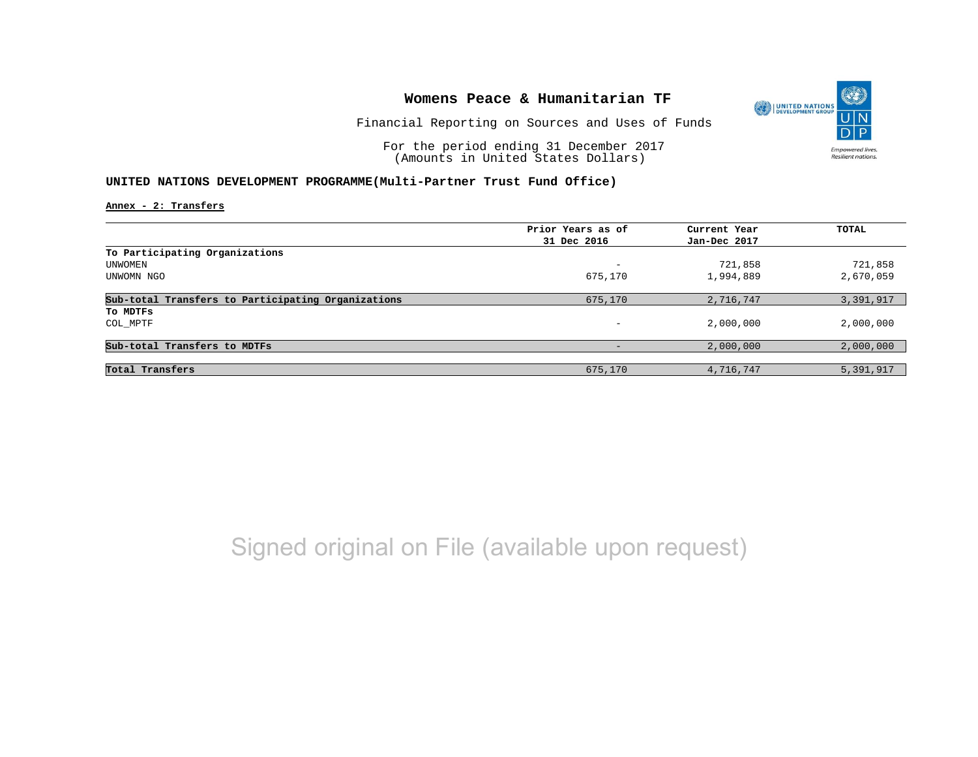

Financial Reporting on Sources and Uses of Funds

For the period ending 31 December 2017 (Amounts in United States Dollars)

### **UNITED NATIONS DEVELOPMENT PROGRAMME(Multi-Partner Trust Fund Office)**

**Annex - 2: Transfers**

|                                                    | Prior Years as of | Current Year | TOTAL     |
|----------------------------------------------------|-------------------|--------------|-----------|
|                                                    | 31 Dec 2016       | Jan-Dec 2017 |           |
| To Participating Organizations                     |                   |              |           |
| UNWOMEN                                            | -                 | 721,858      | 721,858   |
| UNWOMN NGO                                         | 675,170           | 1,994,889    | 2,670,059 |
| Sub-total Transfers to Participating Organizations | 675,170           | 2,716,747    | 3,391,917 |
| To MDTFs                                           |                   |              |           |
| COL MPTF                                           | -                 | 2,000,000    | 2,000,000 |
| Sub-total Transfers to MDTFs                       |                   | 2,000,000    | 2,000,000 |
|                                                    |                   |              |           |
| Total Transfers                                    | 675,170           | 4,716,747    | 5,391,917 |

Signed original on File (available upon request)